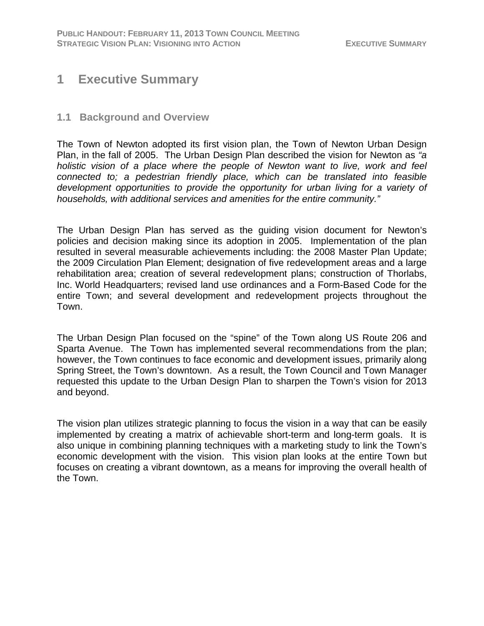# **1 Executive Summary**

#### **1.1 Background and Overview**

The Town of Newton adopted its first vision plan, the Town of Newton Urban Design Plan, in the fall of 2005. The Urban Design Plan described the vision for Newton as *"a holistic vision of a place where the people of Newton want to live, work and feel connected to; a pedestrian friendly place, which can be translated into feasible development opportunities to provide the opportunity for urban living for a variety of households, with additional services and amenities for the entire community."*

The Urban Design Plan has served as the guiding vision document for Newton's policies and decision making since its adoption in 2005. Implementation of the plan resulted in several measurable achievements including: the 2008 Master Plan Update; the 2009 Circulation Plan Element; designation of five redevelopment areas and a large rehabilitation area; creation of several redevelopment plans; construction of Thorlabs, Inc. World Headquarters; revised land use ordinances and a Form-Based Code for the entire Town; and several development and redevelopment projects throughout the Town.

The Urban Design Plan focused on the "spine" of the Town along US Route 206 and Sparta Avenue. The Town has implemented several recommendations from the plan; however, the Town continues to face economic and development issues, primarily along Spring Street, the Town's downtown. As a result, the Town Council and Town Manager requested this update to the Urban Design Plan to sharpen the Town's vision for 2013 and beyond.

The vision plan utilizes strategic planning to focus the vision in a way that can be easily implemented by creating a matrix of achievable short-term and long-term goals. It is also unique in combining planning techniques with a marketing study to link the Town's economic development with the vision. This vision plan looks at the entire Town but focuses on creating a vibrant downtown, as a means for improving the overall health of the Town.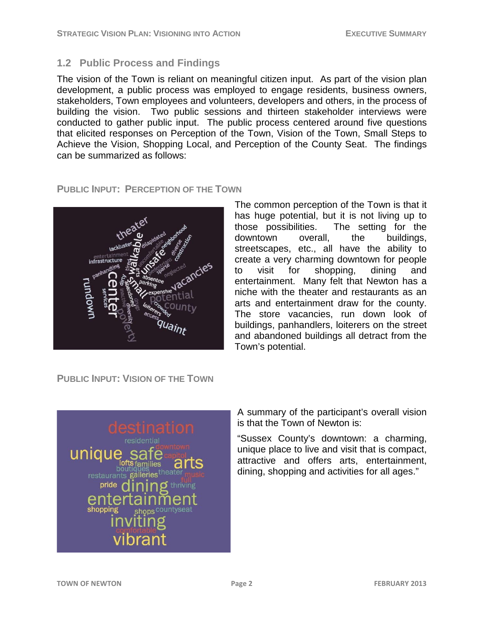#### **1.2 Public Process and Findings**

The vision of the Town is reliant on meaningful citizen input. As part of the vision plan development, a public process was employed to engage residents, business owners, stakeholders, Town employees and volunteers, developers and others, in the process of building the vision. Two public sessions and thirteen stakeholder interviews were conducted to gather public input. The public process centered around five questions that elicited responses on Perception of the Town, Vision of the Town, Small Steps to Achieve the Vision, Shopping Local, and Perception of the County Seat. The findings can be summarized as follows:

#### **PUBLIC INPUT: PERCEPTION OF THE TOWN**



The common perception of the Town is that it has huge potential, but it is not living up to those possibilities. The setting for the downtown overall, the buildings, streetscapes, etc., all have the ability to create a very charming downtown for people to visit for shopping, dining and entertainment. Many felt that Newton has a niche with the theater and restaurants as an arts and entertainment draw for the county. The store vacancies, run down look of buildings, panhandlers, loiterers on the street and abandoned buildings all detract from the Town's potential.

**PUBLIC INPUT: VISION OF THE TOWN**



A summary of the participant's overall vision is that the Town of Newton is:

"Sussex County's downtown: a charming, unique place to live and visit that is compact, attractive and offers arts, entertainment, dining, shopping and activities for all ages."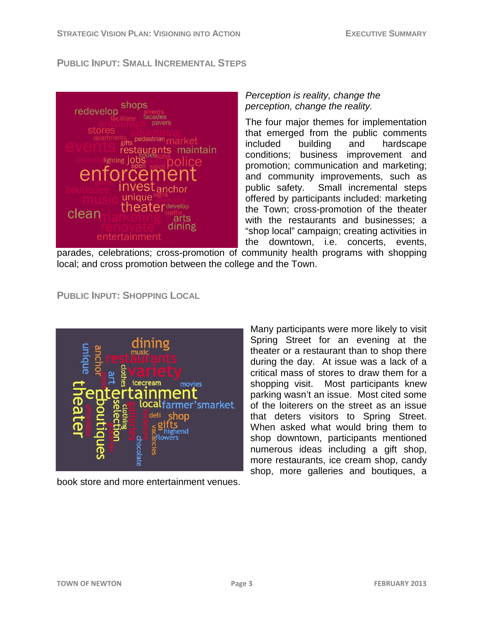#### **PUBLIC INPUT: SMALL INCREMENTAL STEPS**



#### *Perception is reality, change the perception, change the reality.*

The four major themes for implementation that emerged from the public comments included building and hardscape conditions; business improvement and promotion; communication and marketing; and community improvements, such as public safety. Small incremental steps offered by participants included: marketing the Town; cross-promotion of the theater with the restaurants and businesses; a "shop local" campaign; creating activities in the downtown, i.e. concerts, events,

parades, celebrations; cross-promotion of community health programs with shopping local; and cross promotion between the college and the Town.

**PUBLIC INPUT: SHOPPING LOCAL**



book store and more entertainment venues.

Many participants were more likely to visit Spring Street for an evening at the theater or a restaurant than to shop there during the day. At issue was a lack of a critical mass of stores to draw them for a shopping visit. Most participants knew parking wasn't an issue. Most cited some of the loiterers on the street as an issue that deters visitors to Spring Street. When asked what would bring them to shop downtown, participants mentioned numerous ideas including a gift shop, more restaurants, ice cream shop, candy shop, more galleries and boutiques, a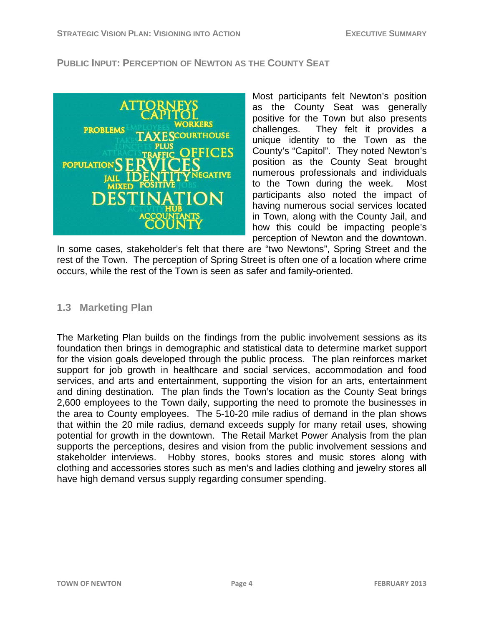#### **PUBLIC INPUT: PERCEPTION OF NEWTON AS THE COUNTY SEAT**



Most participants felt Newton's position as the County Seat was generally positive for the Town but also presents challenges. They felt it provides a unique identity to the Town as the County's "Capitol". They noted Newton's position as the County Seat brought numerous professionals and individuals to the Town during the week. Most participants also noted the impact of having numerous social services located in Town, along with the County Jail, and how this could be impacting people's perception of Newton and the downtown.

In some cases, stakeholder's felt that there are "two Newtons", Spring Street and the rest of the Town. The perception of Spring Street is often one of a location where crime occurs, while the rest of the Town is seen as safer and family-oriented.

### **1.3 Marketing Plan**

The Marketing Plan builds on the findings from the public involvement sessions as its foundation then brings in demographic and statistical data to determine market support for the vision goals developed through the public process. The plan reinforces market support for job growth in healthcare and social services, accommodation and food services, and arts and entertainment, supporting the vision for an arts, entertainment and dining destination. The plan finds the Town's location as the County Seat brings 2,600 employees to the Town daily, supporting the need to promote the businesses in the area to County employees. The 5-10-20 mile radius of demand in the plan shows that within the 20 mile radius, demand exceeds supply for many retail uses, showing potential for growth in the downtown. The Retail Market Power Analysis from the plan supports the perceptions, desires and vision from the public involvement sessions and stakeholder interviews. Hobby stores, books stores and music stores along with clothing and accessories stores such as men's and ladies clothing and jewelry stores all have high demand versus supply regarding consumer spending.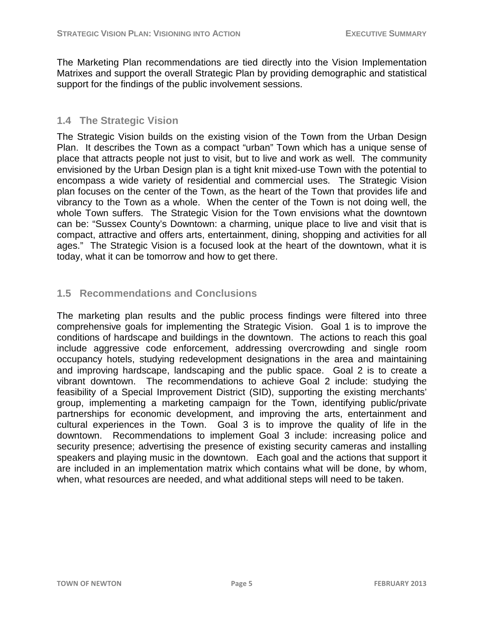The Marketing Plan recommendations are tied directly into the Vision Implementation Matrixes and support the overall Strategic Plan by providing demographic and statistical support for the findings of the public involvement sessions.

## **1.4 The Strategic Vision**

The Strategic Vision builds on the existing vision of the Town from the Urban Design Plan. It describes the Town as a compact "urban" Town which has a unique sense of place that attracts people not just to visit, but to live and work as well. The community envisioned by the Urban Design plan is a tight knit mixed-use Town with the potential to encompass a wide variety of residential and commercial uses. The Strategic Vision plan focuses on the center of the Town, as the heart of the Town that provides life and vibrancy to the Town as a whole. When the center of the Town is not doing well, the whole Town suffers. The Strategic Vision for the Town envisions what the downtown can be: "Sussex County's Downtown: a charming, unique place to live and visit that is compact, attractive and offers arts, entertainment, dining, shopping and activities for all ages." The Strategic Vision is a focused look at the heart of the downtown, what it is today, what it can be tomorrow and how to get there.

## **1.5 Recommendations and Conclusions**

The marketing plan results and the public process findings were filtered into three comprehensive goals for implementing the Strategic Vision. Goal 1 is to improve the conditions of hardscape and buildings in the downtown. The actions to reach this goal include aggressive code enforcement, addressing overcrowding and single room occupancy hotels, studying redevelopment designations in the area and maintaining and improving hardscape, landscaping and the public space. Goal 2 is to create a vibrant downtown. The recommendations to achieve Goal 2 include: studying the feasibility of a Special Improvement District (SID), supporting the existing merchants' group, implementing a marketing campaign for the Town, identifying public/private partnerships for economic development, and improving the arts, entertainment and cultural experiences in the Town. Goal 3 is to improve the quality of life in the downtown. Recommendations to implement Goal 3 include: increasing police and security presence; advertising the presence of existing security cameras and installing speakers and playing music in the downtown. Each goal and the actions that support it are included in an implementation matrix which contains what will be done, by whom, when, what resources are needed, and what additional steps will need to be taken.